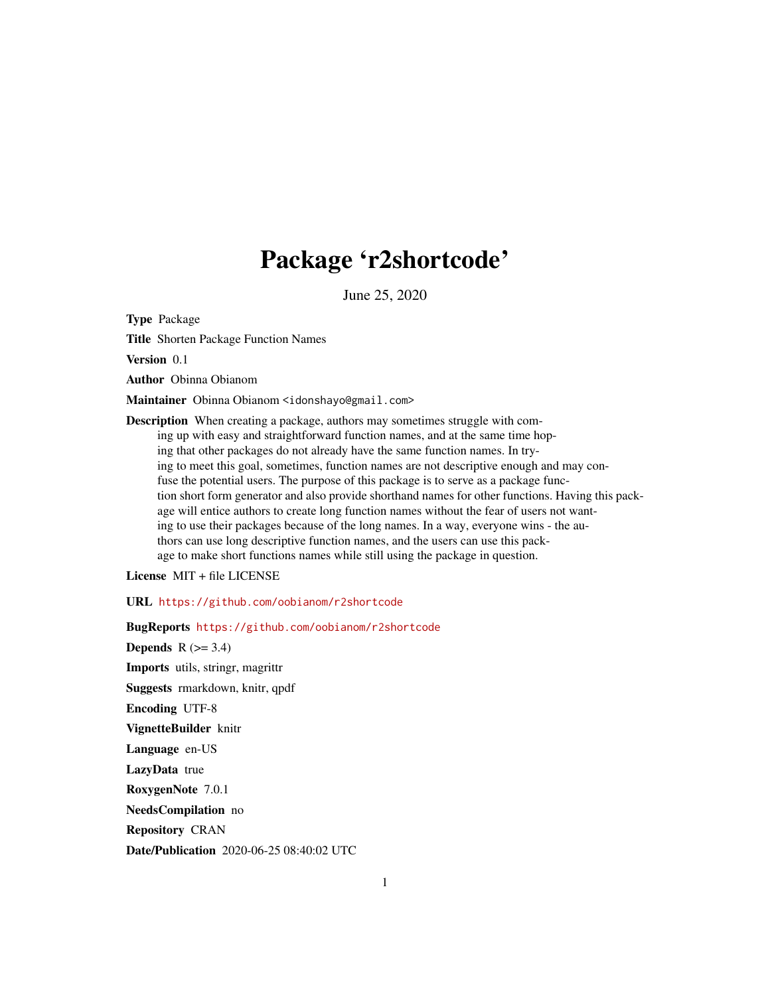## Package 'r2shortcode'

June 25, 2020

Type Package

Title Shorten Package Function Names

Version 0.1

Author Obinna Obianom

Maintainer Obinna Obianom <idonshayo@gmail.com>

Description When creating a package, authors may sometimes struggle with coming up with easy and straightforward function names, and at the same time hoping that other packages do not already have the same function names. In trying to meet this goal, sometimes, function names are not descriptive enough and may confuse the potential users. The purpose of this package is to serve as a package function short form generator and also provide shorthand names for other functions. Having this package will entice authors to create long function names without the fear of users not wanting to use their packages because of the long names. In a way, everyone wins - the authors can use long descriptive function names, and the users can use this package to make short functions names while still using the package in question.

License MIT + file LICENSE

URL <https://github.com/oobianom/r2shortcode>

BugReports <https://github.com/oobianom/r2shortcode> **Depends**  $R$  ( $>= 3.4$ ) Imports utils, stringr, magrittr Suggests rmarkdown, knitr, qpdf Encoding UTF-8 VignetteBuilder knitr Language en-US LazyData true RoxygenNote 7.0.1 NeedsCompilation no Repository CRAN Date/Publication 2020-06-25 08:40:02 UTC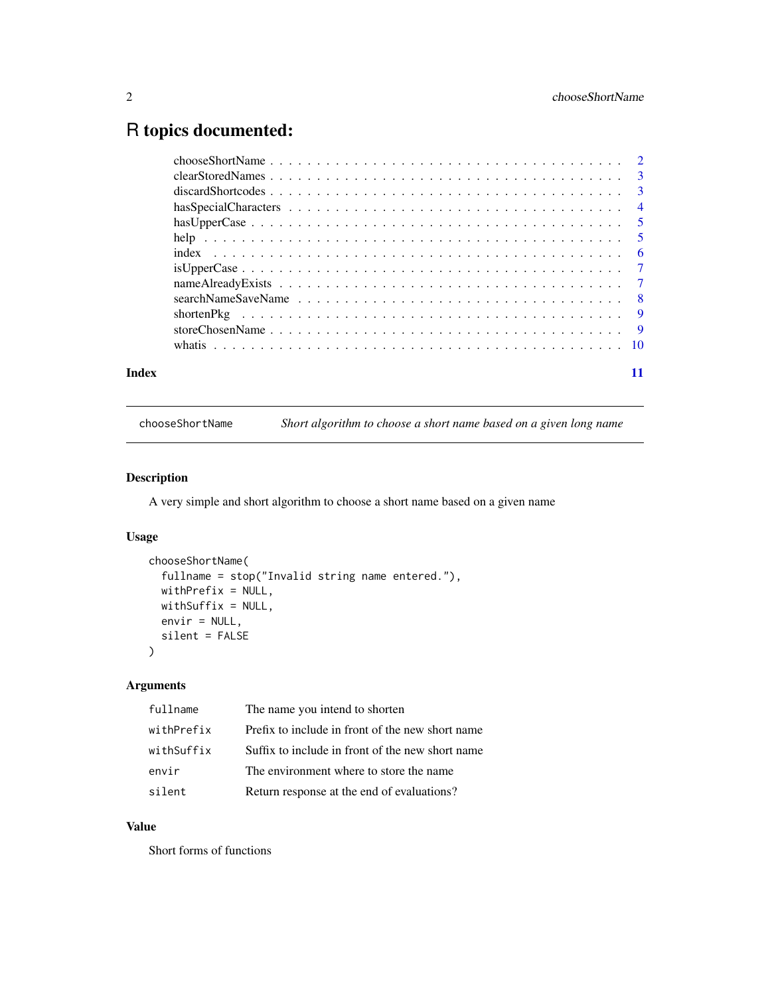## <span id="page-1-0"></span>R topics documented:

| Index |  |
|-------|--|

chooseShortName *Short algorithm to choose a short name based on a given long name*

## Description

A very simple and short algorithm to choose a short name based on a given name

#### Usage

```
chooseShortName(
  fullname = stop("Invalid string name entered."),
 withPrefix = NULL,
 withSuffix = NULL,
 envir = NULL,
  silent = FALSE
\mathcal{L}
```
## Arguments

| Prefix to include in front of the new short name<br>withPrefix |  |
|----------------------------------------------------------------|--|
| Suffix to include in front of the new short name<br>withSuffix |  |
| The environment where to store the name.<br>envir              |  |
| Return response at the end of evaluations?<br>silent           |  |

## Value

Short forms of functions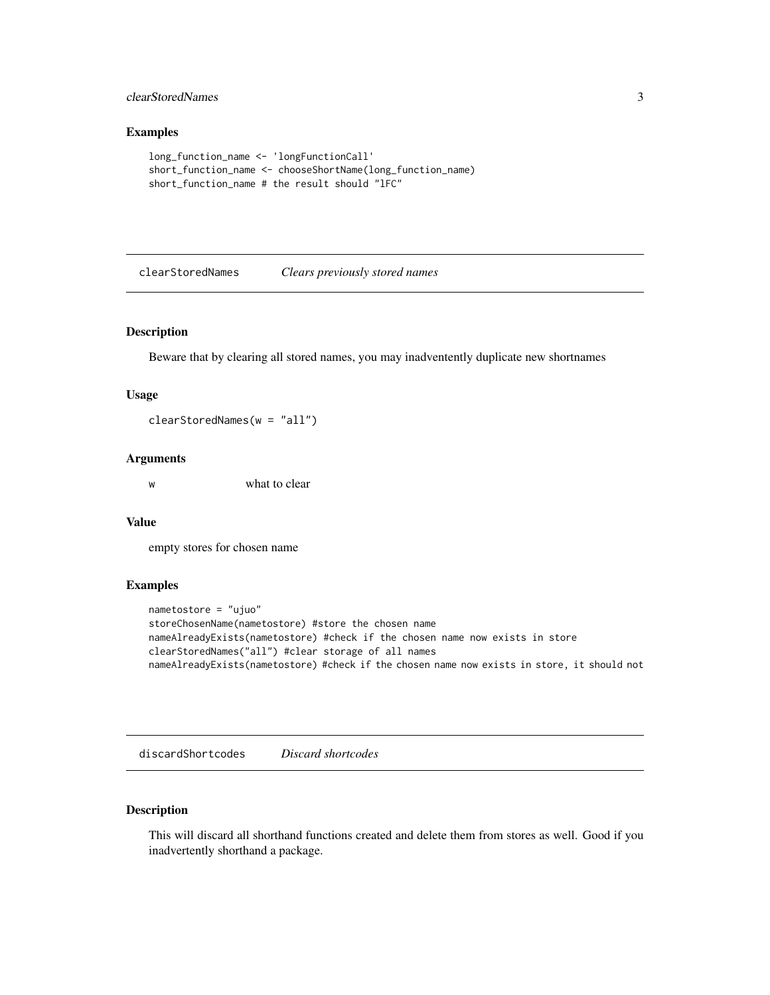### <span id="page-2-0"></span>clearStoredNames 3

## Examples

```
long_function_name <- 'longFunctionCall'
short_function_name <- chooseShortName(long_function_name)
short_function_name # the result should "lFC"
```
clearStoredNames *Clears previously stored names*

## Description

Beware that by clearing all stored names, you may inadventently duplicate new shortnames

#### Usage

clearStoredNames(w = "all")

#### Arguments

w what to clear

#### Value

empty stores for chosen name

#### Examples

```
nametostore = "ujuo"
storeChosenName(nametostore) #store the chosen name
nameAlreadyExists(nametostore) #check if the chosen name now exists in store
clearStoredNames("all") #clear storage of all names
nameAlreadyExists(nametostore) #check if the chosen name now exists in store, it should not
```
discardShortcodes *Discard shortcodes*

## Description

This will discard all shorthand functions created and delete them from stores as well. Good if you inadvertently shorthand a package.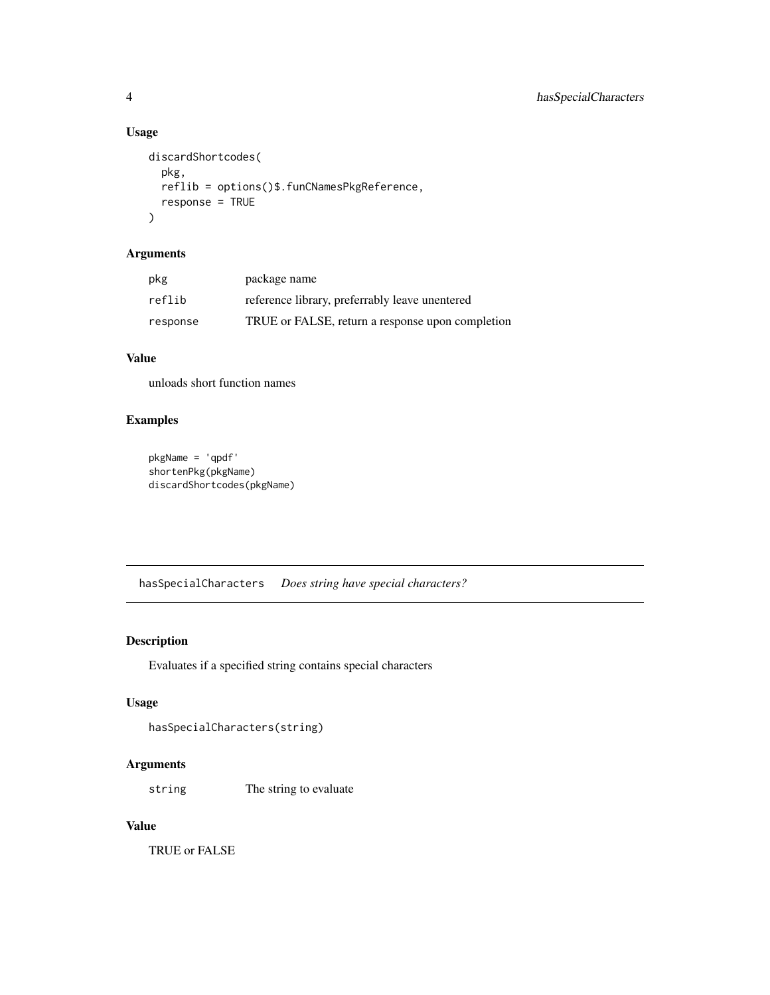## Usage

```
discardShortcodes(
  pkg,
  reflib = options()$.funCNamesPkgReference,
  response = TRUE
\mathcal{L}
```
## Arguments

| pkg      | package name                                     |
|----------|--------------------------------------------------|
| reflib   | reference library, preferrably leave unentered   |
| response | TRUE or FALSE, return a response upon completion |

## Value

unloads short function names

## Examples

```
pkgName = 'qpdf'
shortenPkg(pkgName)
discardShortcodes(pkgName)
```
hasSpecialCharacters *Does string have special characters?*

## Description

Evaluates if a specified string contains special characters

## Usage

```
hasSpecialCharacters(string)
```
## Arguments

string The string to evaluate

## Value

TRUE or FALSE

<span id="page-3-0"></span>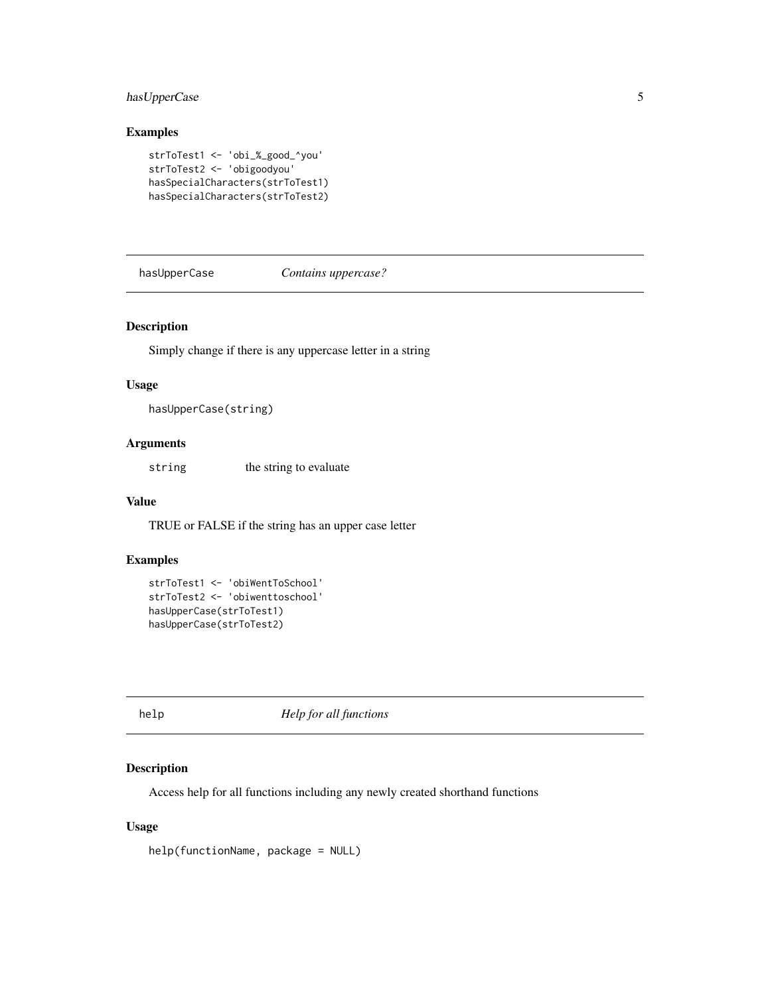## <span id="page-4-0"></span>has UpperCase 5

## Examples

```
strToTest1 <- 'obi_%_good_^you'
strToTest2 <- 'obigoodyou'
hasSpecialCharacters(strToTest1)
hasSpecialCharacters(strToTest2)
```
hasUpperCase *Contains uppercase?*

#### Description

Simply change if there is any uppercase letter in a string

#### Usage

```
hasUpperCase(string)
```
## Arguments

string the string to evaluate

## Value

TRUE or FALSE if the string has an upper case letter

## Examples

```
strToTest1 <- 'obiWentToSchool'
strToTest2 <- 'obiwenttoschool'
hasUpperCase(strToTest1)
hasUpperCase(strToTest2)
```
help *Help for all functions*

#### Description

Access help for all functions including any newly created shorthand functions

## Usage

```
help(functionName, package = NULL)
```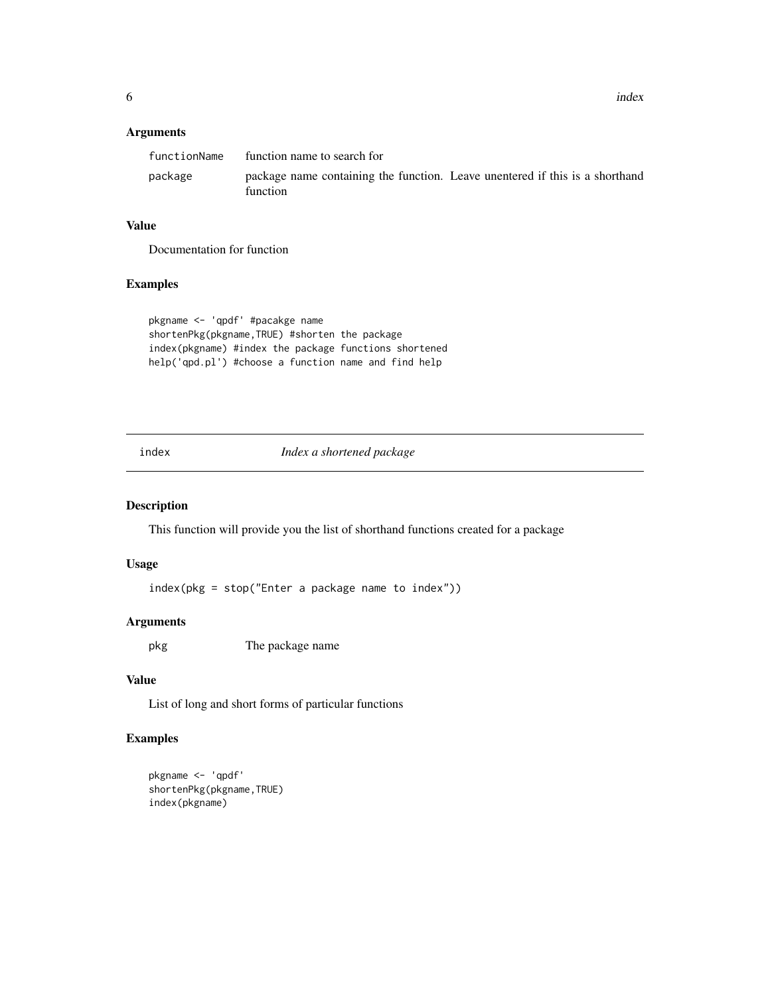<span id="page-5-0"></span>6 index and the contract of the contract of the contract of the contract of the contract of the contract of the contract of the contract of the contract of the contract of the contract of the contract of the contract of th

### Arguments

| functionName | function name to search for                                                              |  |
|--------------|------------------------------------------------------------------------------------------|--|
| package      | package name containing the function. Leave unentered if this is a shorthand<br>function |  |

#### Value

Documentation for function

## Examples

```
pkgname <- 'qpdf' #pacakge name
shortenPkg(pkgname,TRUE) #shorten the package
index(pkgname) #index the package functions shortened
help('qpd.pl') #choose a function name and find help
```
index *Index a shortened package*

#### Description

This function will provide you the list of shorthand functions created for a package

#### Usage

index(pkg = stop("Enter a package name to index"))

## Arguments

pkg The package name

#### Value

List of long and short forms of particular functions

## Examples

```
pkgname <- 'qpdf'
shortenPkg(pkgname,TRUE)
index(pkgname)
```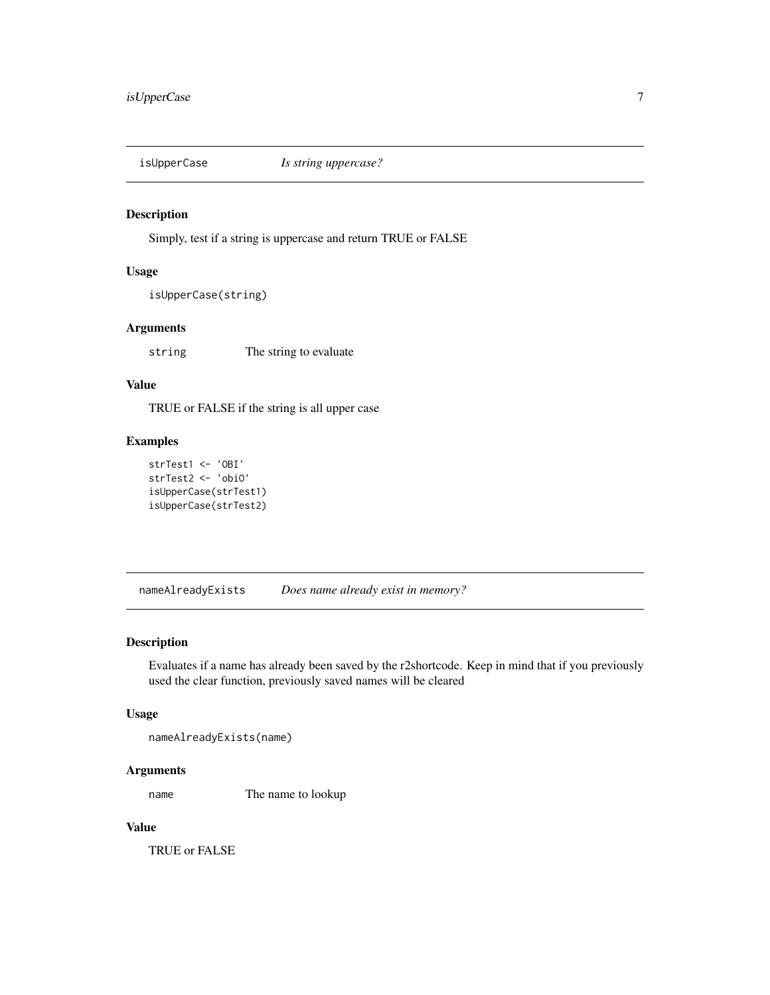<span id="page-6-0"></span>

## Description

Simply, test if a string is uppercase and return TRUE or FALSE

#### Usage

isUpperCase(string)

## Arguments

string The string to evaluate

## Value

TRUE or FALSE if the string is all upper case

## Examples

```
strTest1 <- 'OBI'
strTest2 <- 'obiO'
isUpperCase(strTest1)
isUpperCase(strTest2)
```
nameAlreadyExists *Does name already exist in memory?*

## Description

Evaluates if a name has already been saved by the r2shortcode. Keep in mind that if you previously used the clear function, previously saved names will be cleared

#### Usage

nameAlreadyExists(name)

## Arguments

name The name to lookup

## Value

TRUE or FALSE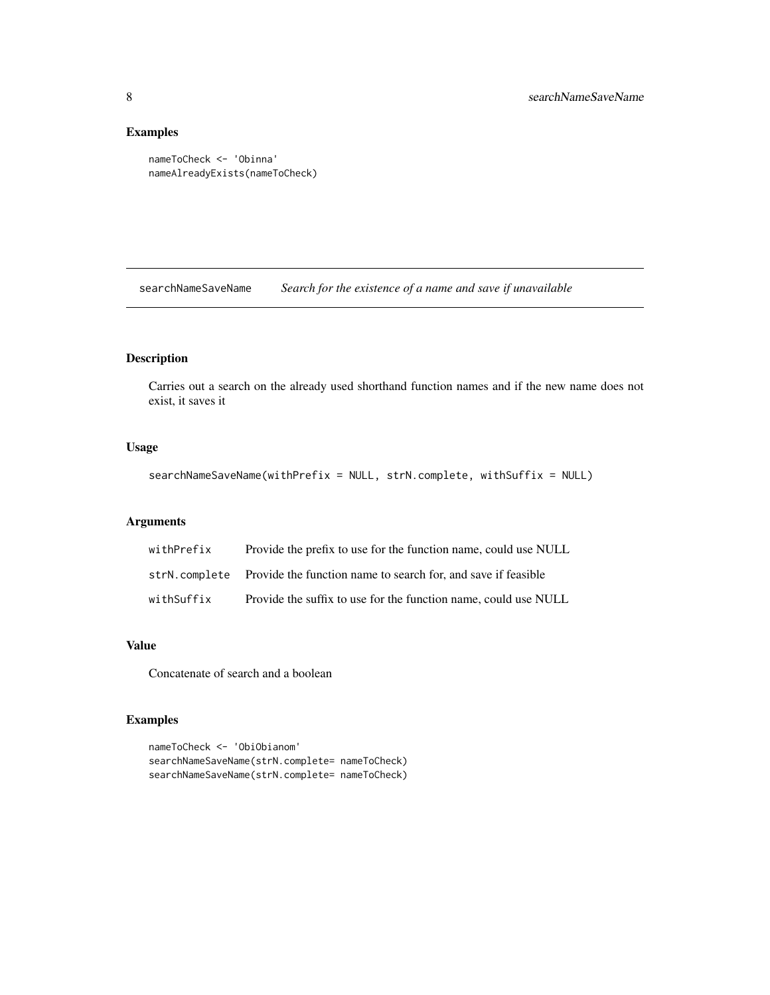## Examples

```
nameToCheck <- 'Obinna'
nameAlreadyExists(nameToCheck)
```
searchNameSaveName *Search for the existence of a name and save if unavailable*

## Description

Carries out a search on the already used shorthand function names and if the new name does not exist, it saves it

#### Usage

```
searchNameSaveName(withPrefix = NULL, strN.complete, withSuffix = NULL)
```
## Arguments

| withPrefix | Provide the prefix to use for the function name, could use NULL              |  |
|------------|------------------------------------------------------------------------------|--|
|            | strN, complete Provide the function name to search for, and save if feasible |  |
| withSuffix | Provide the suffix to use for the function name, could use NULL              |  |

## Value

Concatenate of search and a boolean

#### Examples

```
nameToCheck <- 'ObiObianom'
searchNameSaveName(strN.complete= nameToCheck)
searchNameSaveName(strN.complete= nameToCheck)
```
<span id="page-7-0"></span>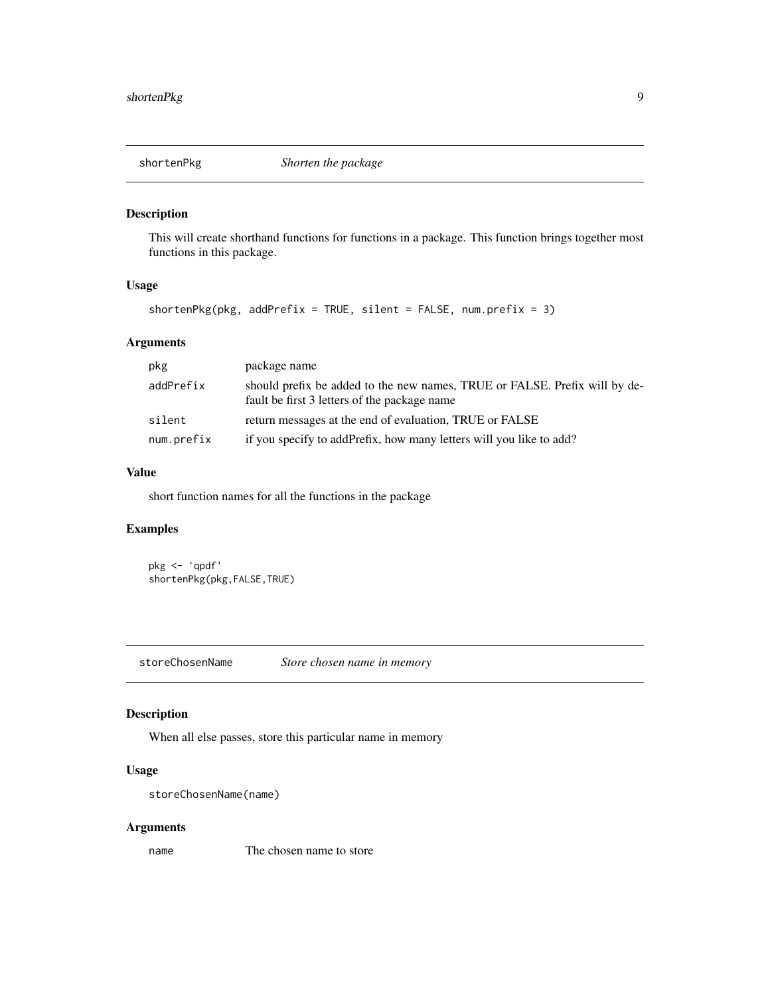<span id="page-8-0"></span>

#### Description

This will create shorthand functions for functions in a package. This function brings together most functions in this package.

## Usage

```
shortenPkg(pkg, addPrefix = TRUE, silent = FALSE, num.prefix = 3)
```
## Arguments

| pkg        | package name                                                                                                               |
|------------|----------------------------------------------------------------------------------------------------------------------------|
| addPrefix  | should prefix be added to the new names, TRUE or FALSE. Prefix will by de-<br>fault be first 3 letters of the package name |
| silent     | return messages at the end of evaluation, TRUE or FALSE                                                                    |
| num.prefix | if you specify to addPrefix, how many letters will you like to add?                                                        |

#### Value

short function names for all the functions in the package

## Examples

```
pkg <- 'qpdf'
shortenPkg(pkg,FALSE,TRUE)
```
storeChosenName *Store chosen name in memory*

## Description

When all else passes, store this particular name in memory

## Usage

```
storeChosenName(name)
```
## Arguments

name The chosen name to store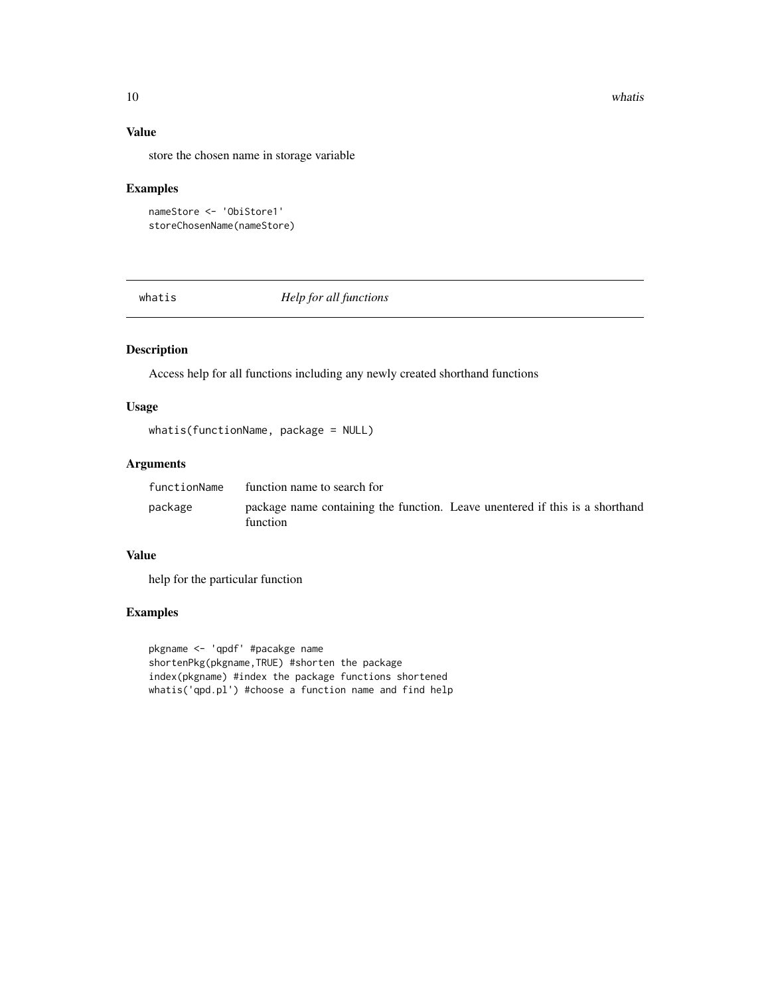<span id="page-9-0"></span>10 whatis what is a contract of the contract of the contract of the contract of the contract of the contract of the contract of the contract of the contract of the contract of the contract of the contract of the contract o

## Value

store the chosen name in storage variable

## Examples

```
nameStore <- 'ObiStore1'
storeChosenName(nameStore)
```
whatis *Help for all functions*

## Description

Access help for all functions including any newly created shorthand functions

#### Usage

```
whatis(functionName, package = NULL)
```
## Arguments

| functionName | function name to search for                                                              |  |
|--------------|------------------------------------------------------------------------------------------|--|
| package      | package name containing the function. Leave unentered if this is a shorthand<br>function |  |

### Value

help for the particular function

## Examples

pkgname <- 'qpdf' #pacakge name shortenPkg(pkgname,TRUE) #shorten the package index(pkgname) #index the package functions shortened whatis('qpd.pl') #choose a function name and find help